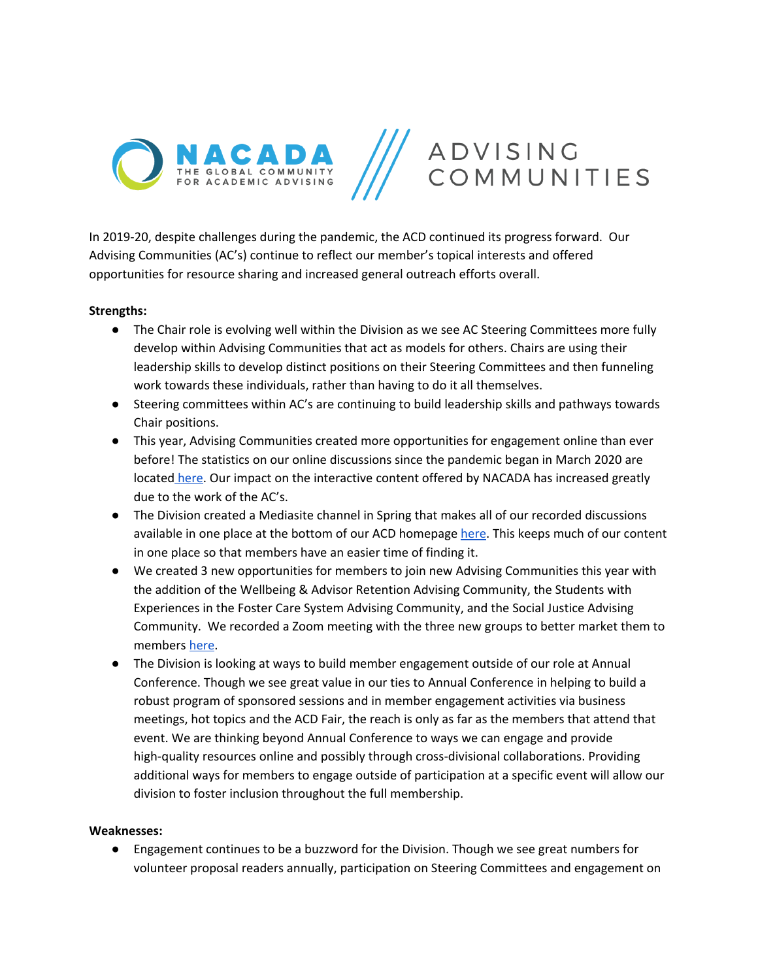

In 2019-20, despite challenges during the pandemic, the ACD continued its progress forward. Our Advising Communities (AC's) continue to reflect our member's topical interests and offered opportunities for resource sharing and increased general outreach efforts overall.

## **Strengths:**

- The Chair role is evolving well within the Division as we see AC Steering Committees more fully develop within Advising Communities that act as models for others. Chairs are using their leadership skills to develop distinct positions on their Steering Committees and then funneling work towards these individuals, rather than having to do it all themselves.
- Steering committees within AC's are continuing to build leadership skills and pathways towards Chair positions.
- This year, Advising Communities created more opportunities for engagement online than ever before! The statistics on our online discussions since the pandemic began in March 2020 are located [here](https://docs.google.com/document/d/1_hBZnN4Wet_WUvpo8rMENUWt0UVAD_-gSpprQstNkDw/edit?usp=sharing). Our impact on the interactive content offered by NACADA has increased greatly due to the work of the AC's.
- The Division created a Mediasite channel in Spring that makes all of our recorded discussions available in one place at the bottom of our ACD homepage [here.](https://nacada.ksu.edu/Community/Advising-Communities.aspx) This keeps much of our content in one place so that members have an easier time of finding it.
- We created 3 new opportunities for members to join new Advising Communities this year with the addition of the Wellbeing & Advisor Retention Advising Community, the Students with Experiences in the Foster Care System Advising Community, and the Social Justice Advising Community. We recorded a Zoom meeting with the three new groups to better market them to members [here](https://nacada.ksu.edu/Community/Advising-Communities.aspx).
- The Division is looking at ways to build member engagement outside of our role at Annual Conference. Though we see great value in our ties to Annual Conference in helping to build a robust program of sponsored sessions and in member engagement activities via business meetings, hot topics and the ACD Fair, the reach is only as far as the members that attend that event. We are thinking beyond Annual Conference to ways we can engage and provide high-quality resources online and possibly through cross-divisional collaborations. Providing additional ways for members to engage outside of participation at a specific event will allow our division to foster inclusion throughout the full membership.

## **Weaknesses:**

● Engagement continues to be a buzzword for the Division. Though we see great numbers for volunteer proposal readers annually, participation on Steering Committees and engagement on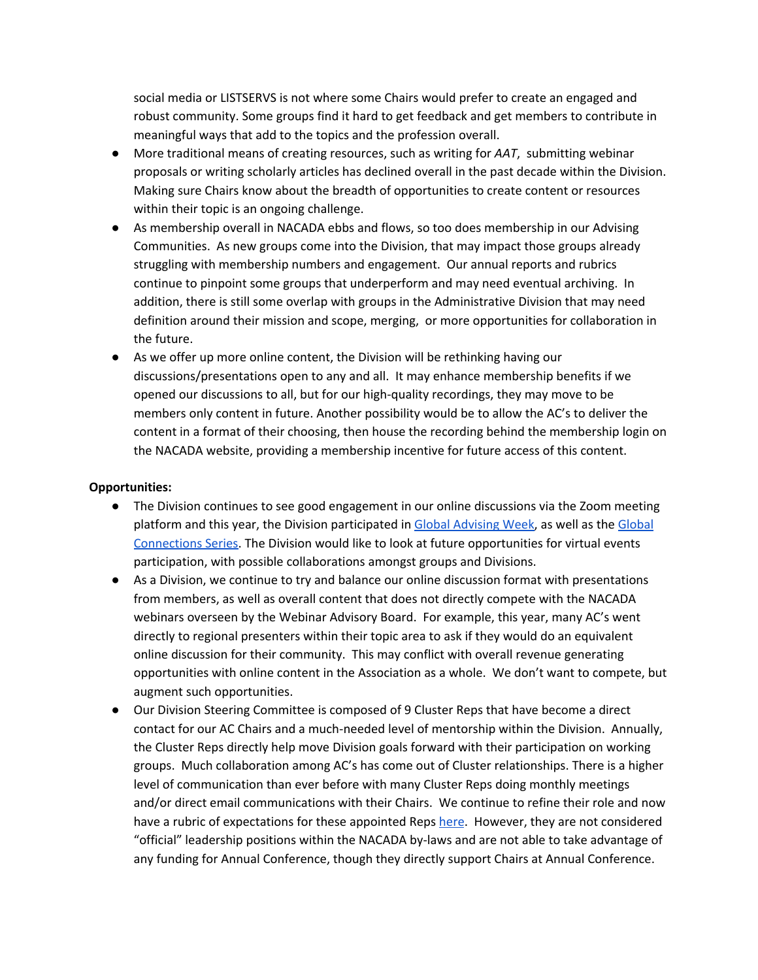social media or LISTSERVS is not where some Chairs would prefer to create an engaged and robust community. Some groups find it hard to get feedback and get members to contribute in meaningful ways that add to the topics and the profession overall.

- More traditional means of creating resources, such as writing for *AAT*, submitting webinar proposals or writing scholarly articles has declined overall in the past decade within the Division. Making sure Chairs know about the breadth of opportunities to create content or resources within their topic is an ongoing challenge.
- As membership overall in NACADA ebbs and flows, so too does membership in our Advising Communities. As new groups come into the Division, that may impact those groups already struggling with membership numbers and engagement. Our annual reports and rubrics continue to pinpoint some groups that underperform and may need eventual archiving. In addition, there is still some overlap with groups in the Administrative Division that may need definition around their mission and scope, merging, or more opportunities for collaboration in the future.
- As we offer up more online content, the Division will be rethinking having our discussions/presentations open to any and all. It may enhance membership benefits if we opened our discussions to all, but for our high-quality recordings, they may move to be members only content in future. Another possibility would be to allow the AC's to deliver the content in a format of their choosing, then house the recording behind the membership login on the NACADA website, providing a membership incentive for future access of this content.

## **Opportunities:**

- The Division continues to see good engagement in our online discussions via the Zoom meeting platform and this year, the Division participated in Global [Advising](https://nacada.ksu.edu/Community/NACADA-Global-Advising-Week.aspx) Week, as well as the [Global](https://nacada.ksu.edu/Resources/Global-Connection-Series.aspx) [Connections](https://nacada.ksu.edu/Resources/Global-Connection-Series.aspx) Series. The Division would like to look at future opportunities for virtual events participation, with possible collaborations amongst groups and Divisions.
- As a Division, we continue to try and balance our online discussion format with presentations from members, as well as overall content that does not directly compete with the NACADA webinars overseen by the Webinar Advisory Board. For example, this year, many AC's went directly to regional presenters within their topic area to ask if they would do an equivalent online discussion for their community. This may conflict with overall revenue generating opportunities with online content in the Association as a whole. We don't want to compete, but augment such opportunities.
- Our Division Steering Committee is composed of 9 Cluster Reps that have become a direct contact for our AC Chairs and a much-needed level of mentorship within the Division. Annually, the Cluster Reps directly help move Division goals forward with their participation on working groups. Much collaboration among AC's has come out of Cluster relationships. There is a higher level of communication than ever before with many Cluster Reps doing monthly meetings and/or direct email communications with their Chairs. We continue to refine their role and now have a rubric of expectation[s](https://drive.google.com/file/d/1DCXsaVKIA4qA1BVCJj1HgA0405tT-Km_/view?usp=sharing) for these appointed Reps [here](https://drive.google.com/file/d/1DCXsaVKIA4qA1BVCJj1HgA0405tT-Km_/view?usp=sharing). However, they are not considered "official" leadership positions within the NACADA by-laws and are not able to take advantage of any funding for Annual Conference, though they directly support Chairs at Annual Conference.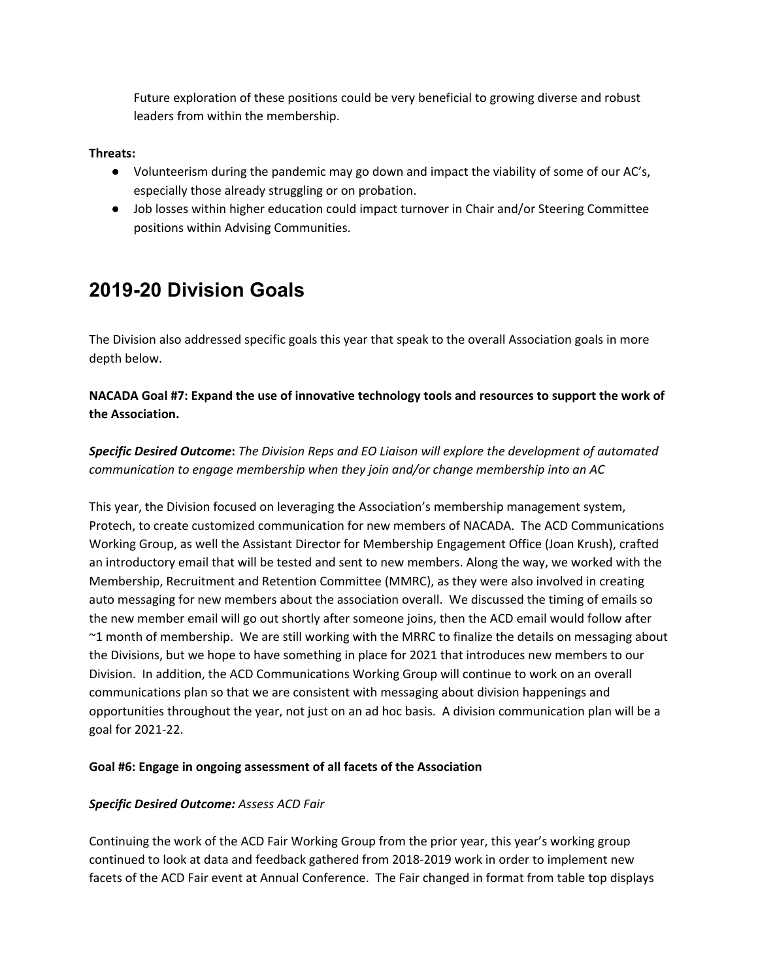Future exploration of these positions could be very beneficial to growing diverse and robust leaders from within the membership.

## **Threats:**

- Volunteerism during the pandemic may go down and impact the viability of some of our AC's, especially those already struggling or on probation.
- Job losses within higher education could impact turnover in Chair and/or Steering Committee positions within Advising Communities.

# **2019-20 Division Goals**

The Division also addressed specific goals this year that speak to the overall Association goals in more depth below.

# **NACADA Goal #7: Expand the use of innovative technology tools and resources to support the work of the Association.**

*Specific Desired Outcome***:** *The Division Reps and EO Liaison will explore the development of automated communication to engage membership when they join and/or change membership into an AC*

This year, the Division focused on leveraging the Association's membership management system, Protech, to create customized communication for new members of NACADA. The ACD Communications Working Group, as well the Assistant Director for Membership Engagement Office (Joan Krush), crafted an introductory email that will be tested and sent to new members. Along the way, we worked with the Membership, Recruitment and Retention Committee (MMRC), as they were also involved in creating auto messaging for new members about the association overall. We discussed the timing of emails so the new member email will go out shortly after someone joins, then the ACD email would follow after ~1 month of membership. We are still working with the MRRC to finalize the details on messaging about the Divisions, but we hope to have something in place for 2021 that introduces new members to our Division. In addition, the ACD Communications Working Group will continue to work on an overall communications plan so that we are consistent with messaging about division happenings and opportunities throughout the year, not just on an ad hoc basis. A division communication plan will be a goal for 2021-22.

# **Goal #6: Engage in ongoing assessment of all facets of the Association**

# *Specific Desired Outcome: Assess ACD Fair*

Continuing the work of the ACD Fair Working Group from the prior year, this year's working group continued to look at data and feedback gathered from 2018-2019 work in order to implement new facets of the ACD Fair event at Annual Conference. The Fair changed in format from table top displays